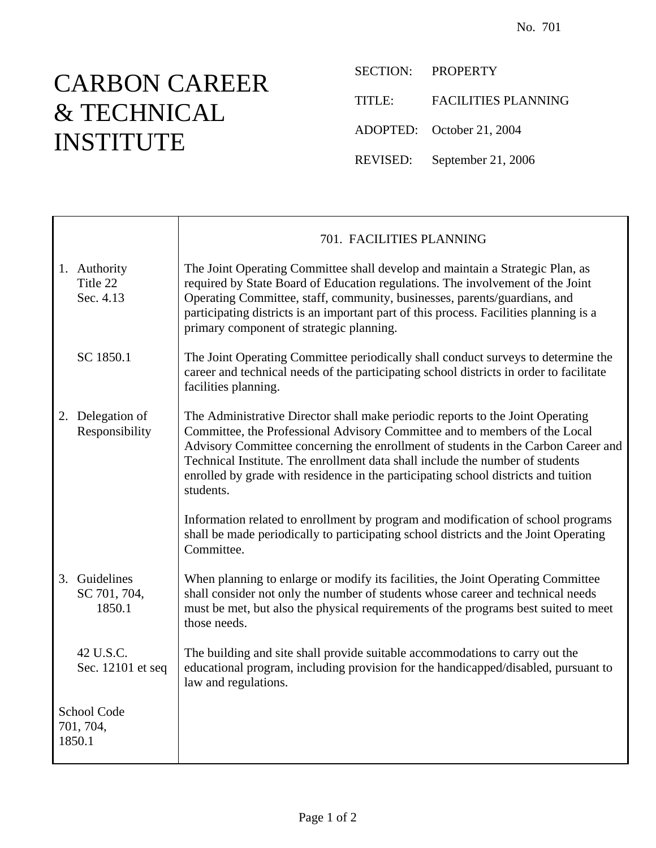## CARBON CAREER & TECHNICAL INSTITUTE

SECTION: PROPERTY TITLE: FACILITIES PLANNING ADOPTED: October 21, 2004 REVISED: September 21, 2006

|                                    |                                         | 701. FACILITIES PLANNING                                                                                                                                                                                                                                                                                                                                                                                                              |
|------------------------------------|-----------------------------------------|---------------------------------------------------------------------------------------------------------------------------------------------------------------------------------------------------------------------------------------------------------------------------------------------------------------------------------------------------------------------------------------------------------------------------------------|
|                                    | 1. Authority<br>Title 22<br>Sec. 4.13   | The Joint Operating Committee shall develop and maintain a Strategic Plan, as<br>required by State Board of Education regulations. The involvement of the Joint<br>Operating Committee, staff, community, businesses, parents/guardians, and<br>participating districts is an important part of this process. Facilities planning is a<br>primary component of strategic planning.                                                    |
|                                    | SC 1850.1                               | The Joint Operating Committee periodically shall conduct surveys to determine the<br>career and technical needs of the participating school districts in order to facilitate<br>facilities planning.                                                                                                                                                                                                                                  |
|                                    | 2. Delegation of<br>Responsibility      | The Administrative Director shall make periodic reports to the Joint Operating<br>Committee, the Professional Advisory Committee and to members of the Local<br>Advisory Committee concerning the enrollment of students in the Carbon Career and<br>Technical Institute. The enrollment data shall include the number of students<br>enrolled by grade with residence in the participating school districts and tuition<br>students. |
|                                    |                                         | Information related to enrollment by program and modification of school programs<br>shall be made periodically to participating school districts and the Joint Operating<br>Committee.                                                                                                                                                                                                                                                |
|                                    | 3. Guidelines<br>SC 701, 704,<br>1850.1 | When planning to enlarge or modify its facilities, the Joint Operating Committee<br>shall consider not only the number of students whose career and technical needs<br>must be met, but also the physical requirements of the programs best suited to meet<br>those needs.                                                                                                                                                            |
|                                    | 42 U.S.C.<br>Sec. 12101 et seq          | The building and site shall provide suitable accommodations to carry out the<br>educational program, including provision for the handicapped/disabled, pursuant to<br>law and regulations.                                                                                                                                                                                                                                            |
| School Code<br>701, 704,<br>1850.1 |                                         |                                                                                                                                                                                                                                                                                                                                                                                                                                       |